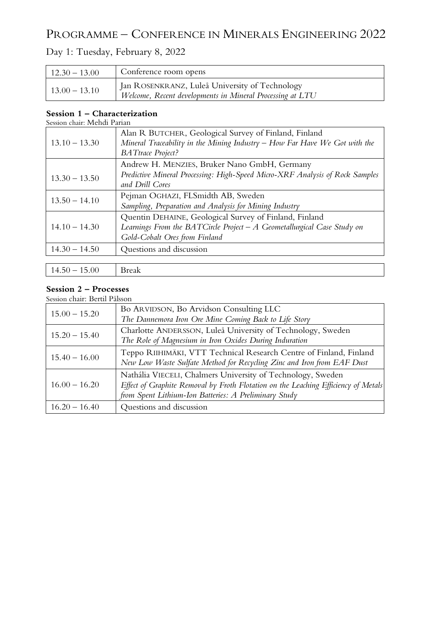## PROGRAMME – CONFERENCE IN MINERALS ENGINEERING 2022

### Day 1: Tuesday, February 8, 2022

| $12.30 - 13.00$ | Conference room opens                                                                                       |
|-----------------|-------------------------------------------------------------------------------------------------------------|
| $13.00 - 13.10$ | Jan ROSENKRANZ, Luleå University of Technology<br>Welcome, Recent developments in Mineral Processing at LTU |

#### **Session 1 – Characterization** Session chair: Mehdi Parian

| $13.10 - 13.30$ | Alan R BUTCHER, Geological Survey of Finland, Finland<br>Mineral Traceability in the Mining Industry $-$ How Far Have We Got with the<br><b>BATtrace Project?</b>   |
|-----------------|---------------------------------------------------------------------------------------------------------------------------------------------------------------------|
| $13.30 - 13.50$ | Andrew H. MENZIES, Bruker Nano GmbH, Germany<br>Predictive Mineral Processing: High-Speed Micro-XRF Analysis of Rock Samples<br>and Drill Cores                     |
| $13.50 - 14.10$ | Pejman OGHAZI, FLSmidth AB, Sweden<br>Sampling, Preparation and Analysis for Mining Industry                                                                        |
| $14.10 - 14.30$ | Quentin DEHAINE, Geological Survey of Finland, Finland<br>Learnings From the BATCircle Project $-A$ Geometallurgical Case Study on<br>Gold-Cobalt Ores from Finland |
| $14.30 - 14.50$ | Questions and discussion                                                                                                                                            |
| $14.50 - 15.00$ | <b>Break</b>                                                                                                                                                        |

### **Session 2 – Processes**

Session chair: Bertil Pålsson

| $15.00 - 15.20$ | Bo ARVIDSON, Bo Arvidson Consulting LLC<br>The Dannemora Iron Ore Mine Coming Back to Life Story                                                                                                           |
|-----------------|------------------------------------------------------------------------------------------------------------------------------------------------------------------------------------------------------------|
| $15.20 - 15.40$ | Charlotte ANDERSSON, Luleå University of Technology, Sweden<br>The Role of Magnesium in Iron Oxides During Induration                                                                                      |
| $15.40 - 16.00$ | Teppo RIIHIMÄKI, VTT Technical Research Centre of Finland, Finland<br>New Low Waste Sulfate Method for Recycling Zinc and Iron from EAF Dust                                                               |
| $16.00 - 16.20$ | Nathália VIECELI, Chalmers University of Technology, Sweden<br>Effect of Graphite Removal by Froth Flotation on the Leaching Efficiency of Metals<br>from Spent Lithium-Ion Batteries: A Preliminary Study |
| $16.20 - 16.40$ | Questions and discussion                                                                                                                                                                                   |